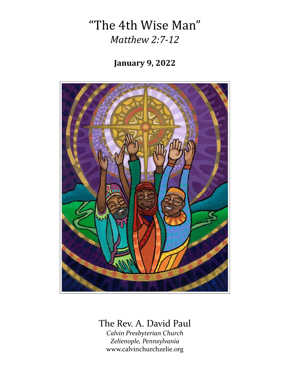## "The 4th Wise Man" *Matthew 2:7-12*

## **January 9, 2022**



## The Rev. A. David Paul

*Calvin Presbyterian Church Zelienople, Pennsylvania* www.calvinchurchzelie.org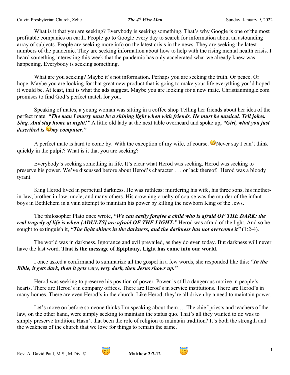What is it that you are seeking? Everybody is seeking something. That's why Google is one of the most profitable companies on earth. People go to Google every day to search for information about an astounding array of subjects. People are seeking more info on the latest crisis in the news. They are seeking the latest numbers of the pandemic. They are seeking information about how to help with the rising mental health crisis. I heard something interesting this week that the pandemic has only accelerated what we already knew was happening. Everybody is seeking something.

What are you seeking? Maybe it's not information. Perhaps you are seeking the truth. Or peace. Or hope. Maybe you are looking for that great new product that is going to make your life everything you'd hoped it would be. At least, that is what the ads suggest. Maybe you are looking for a new mate. Christianmingle.com promises to find God's perfect match for you.

Speaking of mates, a young woman was sitting in a coffee shop Telling her friends about her idea of the perfect mate. *"The man I marry must be a shining light when with friends. He must be musical. Tell jokes. Sing. And stay home at night!"* A little old lady at the next table overheard and spoke up, *"Girl, what you just described is my computer."*

A perfect mate is hard to come by. With the exception of my wife, of course.  $\bullet$  Never say I can't think quickly in the pulpit? What is it that you are seeking?

Everybody's seeking something in life. It's clear what Herod was seeking. Herod was seeking to preserve his power. We've discussed before about Herod's character . . . or lack thereof. Herod was a bloody tyrant.

King Herod lived in perpetual darkness. He was ruthless: murdering his wife, his three sons, his motherin-law, brother-in-law, uncle, and many others. His crowning cruelty of course was the murder of the infant boys in Bethlehem in a vain attempt to maintain his power by killing the newborn King of the Jews.

The philosopher Plato once wrote, *"We can easily forgive a child who is afraid OF THE DARK: the real tragedy of life is when [ADULTS] are afraid OF THE LIGHT."* Herod was afraid of the light. And so he sought to extinguish it, *"The light shines in the darkness, and the darkness has not overcome it"* (1:2-4).

The world was in darkness. Ignorance and evil prevailed, as they do even today. But darkness will never have the last word. **That is the message of Epiphany. Light has come into our world.**

I once asked a confirmand to summarize all the gospel in a few words, she responded like this: *"In the Bible, it gets dark, then it gets very, very dark, then Jesus shows up."*

Herod was seeking to preserve his position of power. Power is still a dangerous motive in people's hearts. There are Herod's in company offices. There are Herod's in service institutions. There are Herod's in many homes. There are even Herod's in the church. Like Herod, they're all driven by a need to maintain power.

Let's move on before someone thinks I'm speaking about them…. The chief priests and teachers of the law, on the other hand, were simply seeking to maintain the status quo. That's all they wanted to do was to simply preserve tradition. Hasn't that been the role of religion to maintain tradition? It's both the strength and the weakness of the church that we love for things to remain the same.<sup>1</sup>



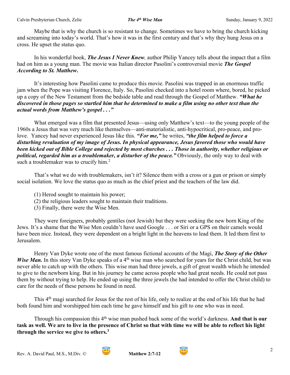Maybe that is why the church is so resistant to change. Sometimes we have to bring the church kicking and screaming into today's world. That's how it was in the first century and that's why they hung Jesus on a cross. He upset the status quo.

In his wonderful book, *The Jesus I Never Knew,* author Philip Yancey tells about the impact that a film had on him as a young man. The movie was Italian director Pasolini's controversial movie *The Gospel According to St. Matthew***.**

It's interesting how Pasolini came to produce this movie. Pasolini was trapped in an enormous traffic jam when the Pope was visiting Florence, Italy. So, Pasolini checked into a hotel room where, bored, he picked up a copy of the New Testament from the bedside table and read through the Gospel of Matthew. *"What he discovered in those pages so startled him that he determined to make a film using no other text than the actual words from Matthew's gospel . . ."*

What emerged was a film that presented Jesus—using only Matthew's text—to the young people of the 1960s a Jesus that was very much like themselves—anti-materialistic, anti-hypocritical, pro-peace, and prolove. Yancey had never experienced Jesus like this*. "For me,"* he writes, *"the film helped to force a disturbing revaluation of my image of Jesus. In physical appearance, Jesus favored those who would have been kicked out of Bible College and rejected by most churches . . . Those in authority, whether religious or political, regarded him as a troublemaker, a disturber of the peace."* Obviously, the only way to deal with such a troublemaker was to crucify him.<sup>2</sup>

That's what we do with troublemakers, isn't it? Silence them with a cross or a gun or prison or simply social isolation. We love the status quo as much as the chief priest and the teachers of the law did.

- (1) Herod sought to maintain his power;
- (2) the religious leaders sought to maintain their traditions.
- (3) Finally, there were the Wise Men.

They were foreigners, probably gentiles (not Jewish) but they were seeking the new born King of the Jews. It's a shame that the Wise Men couldn't have used Google . . . or Siri or a GPS on their camels would have been nice. Instead, they were dependent on a bright light in the heavens to lead them. It led them first to Jerusalem.

Henry Van Dyke wrote one of the most famous fictional accounts of the Magi, *The Story of the Other Wise Man.* In this story Van Dyke speaks of a 4<sup>th</sup> wise man who searched for years for the Christ child, but was never able to catch up with the others. This wise man had three jewels, a gift of great wealth which he intended to give to the newborn king. But in his journey he came across people who had great needs. He could not pass them by without trying to help. He ended up using the three jewels (he had intended to offer the Christ child) to care for the needs of these persons he found in need.

This 4th magi searched for Jesus for the rest of his life, only to realize at the end of his life that he had both found him and worshipped him each time he gave himself and his gift to one who was in need.

Through his compassion this 4<sup>th</sup> wise man pushed back some of the world's darkness. And that is our **task as well. We are to live in the presence of Christ so that with time we will be able to reflect his light through the service we give to others.3**